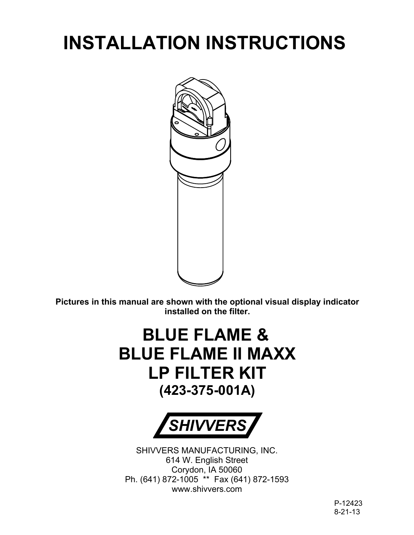# **INSTALLATION INSTRUCTIONS**



**Pictures in this manual are shown with the optional visual display indicator installed on the filter.**

## **BLUE FLAME & BLUE FLAME II MAXX LP FILTER KIT (423-375-001A)**



SHIVVERS MANUFACTURING, INC. 614 W. English Street Corydon, IA 50060 Ph. (641) 872-1005 \*\* Fax (641) 872-1593 www.shivvers.com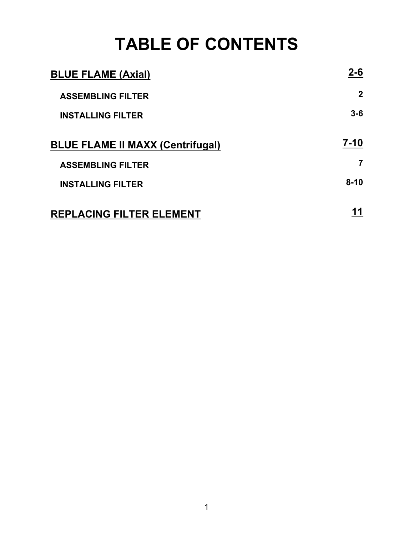## **TABLE OF CONTENTS**

| <b>BLUE FLAME (Axial)</b>               | 2-6            |
|-----------------------------------------|----------------|
| <b>ASSEMBLING FILTER</b>                | $\mathbf{2}$   |
| <b>INSTALLING FILTER</b>                | $3-6$          |
| <b>BLUE FLAME II MAXX (Centrifugal)</b> | $7 - 10$       |
| <b>ASSEMBLING FILTER</b>                | $\overline{7}$ |
| <b>INSTALLING FILTER</b>                | $8 - 10$       |
| <b>REPLACING FILTER ELEMENT</b>         |                |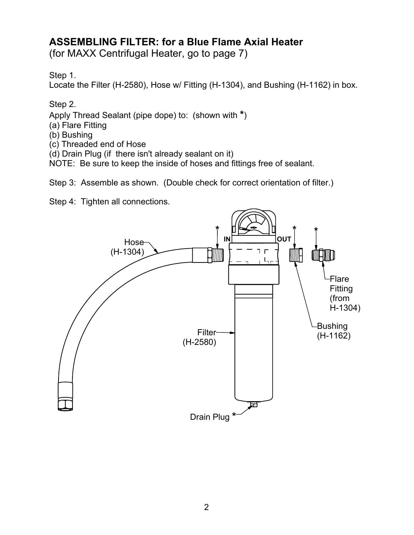## **ASSEMBLING FILTER: for a Blue Flame Axial Heater**

(for MAXX Centrifugal Heater, go to page 7)

Step 1.

Locate the Filter (H-2580), Hose w/ Fitting (H-1304), and Bushing (H-1162) in box.

Step 2.

Apply Thread Sealant (pipe dope) to: (shown with **\***)

- (a) Flare Fitting
- (b) Bushing
- (c) Threaded end of Hose

(d) Drain Plug (if there isn't already sealant on it)

NOTE: Be sure to keep the inside of hoses and fittings free of sealant.

Step 3: Assemble as shown. (Double check for correct orientation of filter.)

Step 4: Tighten all connections.

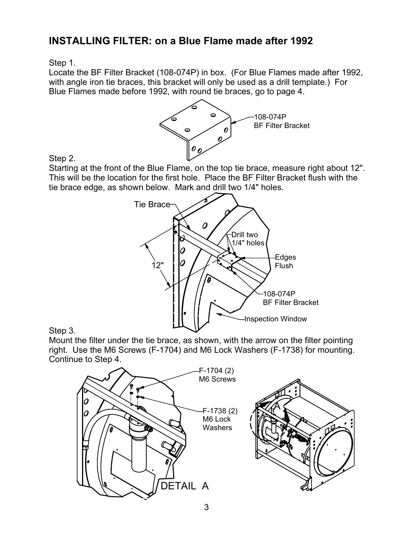### **INSTALLING FILTER: on a Blue Flame made after 1992**

Step 1.

Locate the BF Filter Bracket (108-074P) in box. (For Blue Flames made after 1992, with angle iron tie braces, this bracket will only be used as a drill template.) For Blue Flames made before 1992, with round tie braces, go to page 4.



Step 2.

Starting at the front of the Blue Flame, on the top tie brace, measure right about 12". This will be the location for the first hole. Place the BF Filter Bracket flush with the tie brace edge, as shown below. Mark and drill two 1/4" holes.



#### Step 3.

Mount the filter under the tie brace, as shown, with the arrow on the filter pointing right. Use the M6 Screws (F-1704) and M6 Lock Washers (F-1738) for mounting. Continue to Step 4.

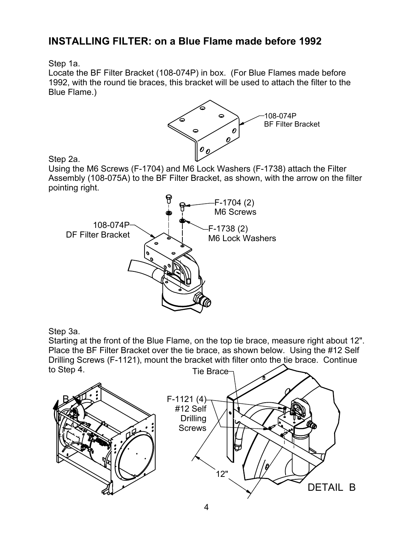## **INSTALLING FILTER: on a Blue Flame made before 1992**

Step 1a.

Locate the BF Filter Bracket (108-074P) in box. (For Blue Flames made before 1992, with the round tie braces, this bracket will be used to attach the filter to the Blue Flame.)



Step 2a.

Using the M6 Screws (F-1704) and M6 Lock Washers (F-1738) attach the Filter Assembly (108-075A) to the BF Filter Bracket, as shown, with the arrow on the filter pointing right.



Step 3a.

Starting at the front of the Blue Flame, on the top tie brace, measure right about 12". Place the BF Filter Bracket over the tie brace, as shown below. Using the #12 Self Drilling Screws (F-1121), mount the bracket with filter onto the tie brace. Continue to Step 4. Tie Brace

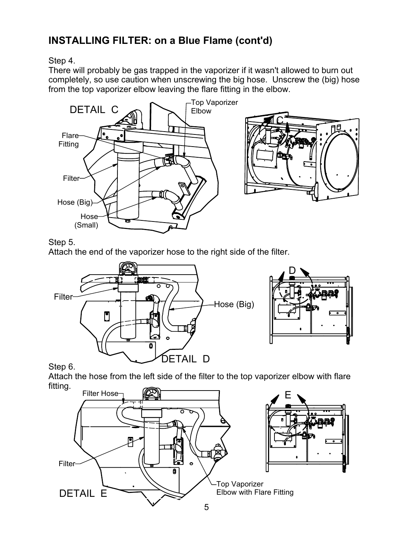## **INSTALLING FILTER: on a Blue Flame (cont'd)**

#### Step 4.

There will probably be gas trapped in the vaporizer if it wasn't allowed to burn out completely, so use caution when unscrewing the big hose. Unscrew the (big) hose from the top vaporizer elbow leaving the flare fitting in the elbow.



#### Step 5.

Attach the end of the vaporizer hose to the right side of the filter.



Attach the hose from the left side of the filter to the top vaporizer elbow with flare fitting.

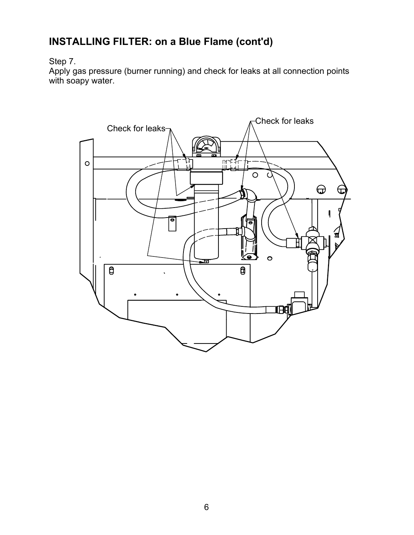## **INSTALLING FILTER: on a Blue Flame (cont'd)**

#### Step 7.

Apply gas pressure (burner running) and check for leaks at all connection points with soapy water.

![](_page_6_Figure_3.jpeg)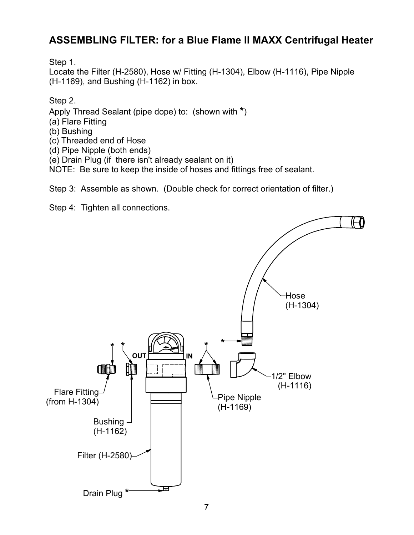## **ASSEMBLING FILTER: for a Blue Flame II MAXX Centrifugal Heater**

Step 1.

Locate the Filter (H-2580), Hose w/ Fitting (H-1304), Elbow (H-1116), Pipe Nipple (H-1169), and Bushing (H-1162) in box.

Step 2.

Apply Thread Sealant (pipe dope) to: (shown with **\***)

- (a) Flare Fitting
- (b) Bushing

(c) Threaded end of Hose

(d) Pipe Nipple (both ends)

(e) Drain Plug (if there isn't already sealant on it)

NOTE: Be sure to keep the inside of hoses and fittings free of sealant.

Step 3: Assemble as shown. (Double check for correct orientation of filter.)

Step 4: Tighten all connections.

![](_page_7_Figure_13.jpeg)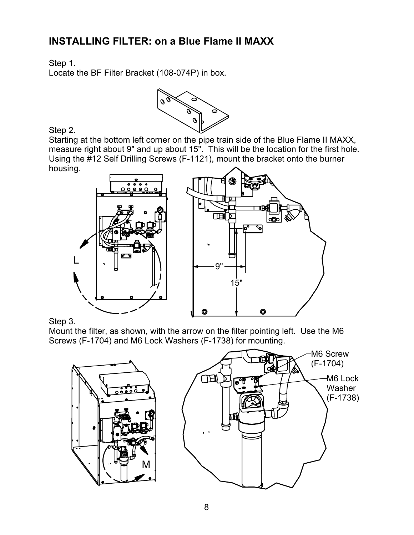## **INSTALLING FILTER: on a Blue Flame II MAXX**

Step 1.

Locate the BF Filter Bracket (108-074P) in box.

![](_page_8_Picture_3.jpeg)

Step 2.

Starting at the bottom left corner on the pipe train side of the Blue Flame II MAXX, measure right about 9" and up about 15". This will be the location for the first hole. Using the #12 Self Drilling Screws (F-1121), mount the bracket onto the burner housing.

![](_page_8_Figure_6.jpeg)

Step 3.

Mount the filter, as shown, with the arrow on the filter pointing left. Use the M6 Screws (F-1704) and M6 Lock Washers (F-1738) for mounting.

![](_page_8_Figure_9.jpeg)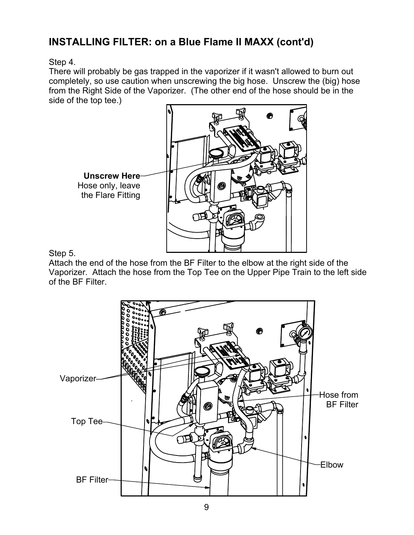## **INSTALLING FILTER: on a Blue Flame II MAXX (cont'd)**

Step 4.

There will probably be gas trapped in the vaporizer if it wasn't allowed to burn out completely, so use caution when unscrewing the big hose. Unscrew the (big) hose from the Right Side of the Vaporizer. (The other end of the hose should be in the side of the top tee.)

![](_page_9_Figure_3.jpeg)

Step 5.

Attach the end of the hose from the BF Filter to the elbow at the right side of the Vaporizer. Attach the hose from the Top Tee on the Upper Pipe Train to the left side of the BF Filter.

![](_page_9_Figure_6.jpeg)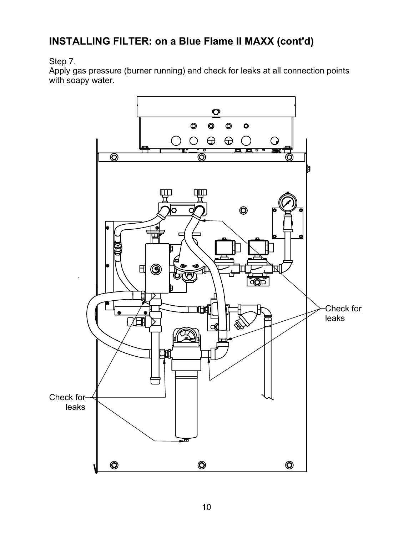## **INSTALLING FILTER: on a Blue Flame II MAXX (cont'd)**

### Step 7.

Apply gas pressure (burner running) and check for leaks at all connection points with soapy water.

![](_page_10_Figure_3.jpeg)